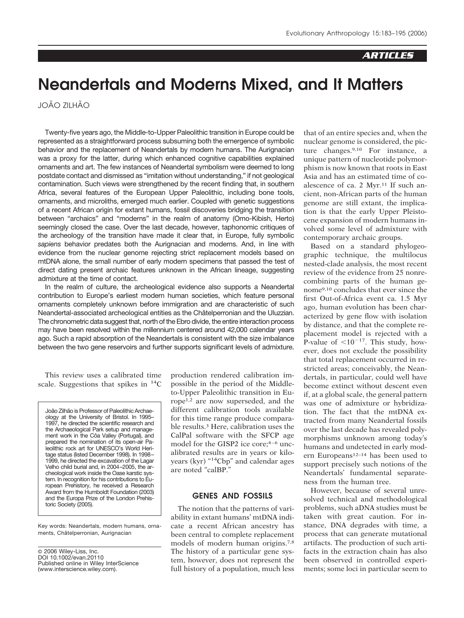# *ARTICLES*

# **Neandertals and Moderns Mixed, and It Matters**

JOA˜ O ZILHA˜ O

Twenty-five years ago, the Middle-to-Upper Paleolithic transition in Europe could be represented as a straightforward process subsuming both the emergence of symbolic behavior and the replacement of Neandertals by modern humans. The Aurignacian was a proxy for the latter, during which enhanced cognitive capabilities explained ornaments and art. The few instances of Neandertal symbolism were deemed to long postdate contact and dismissed as "imitation without understanding," if not geological contamination. Such views were strengthened by the recent finding that, in southern Africa, several features of the European Upper Paleolithic, including bone tools, ornaments, and microliths, emerged much earlier. Coupled with genetic suggestions of a recent African origin for extant humans, fossil discoveries bridging the transition between "archaics" and "moderns" in the realm of anatomy (Omo-Kibish, Herto) seemingly closed the case. Over the last decade, however, taphonomic critiques of the archeology of the transition have made it clear that, in Europe, fully symbolic *sapiens* behavior predates both the Aurignacian and moderns. And, in line with evidence from the nuclear genome rejecting strict replacement models based on mtDNA alone, the small number of early modern specimens that passed the test of direct dating present archaic features unknown in the African lineage, suggesting admixture at the time of contact.

In the realm of culture, the archeological evidence also supports a Neandertal contribution to Europe's earliest modern human societies, which feature personal ornaments completely unknown before immigration and are characteristic of such Neandertal-associated archeological entities as the Châtelperronian and the Uluzzian. The chronometric data suggest that, north of the Ebro divide, the entire interaction process may have been resolved within the millennium centered around 42,000 calendar years ago. Such a rapid absorption of the Neandertals is consistent with the size imbalance between the two gene reservoirs and further supports significant levels of admixture.

This review uses a calibrated time scale. Suggestions that spikes in  $^{14}C$ 

João Zilhão is Professor of Paleolithic Archaeology at the University of Bristol. In 1995– 1997, he directed the scientific research and the Archaeological Park setup and management work in the Côa Valley (Portugal), and prepared the nomination of its open-air Paleolithic rock art for UNESCO's World Heritage status (listed December 1998). In 1998– 1999, he directed the excavation of the Lagar Velho child burial and, in 2004–2005, the archeological work inside the Oase karstic system. In recognition for his contributions to European Prehistory, he received a Research Award from the Humboldt Foundation (2003) and the Europa Prize of the London Prehistoric Society (2005).

Key words: Neandertals, modern humans, ornaments, Châtelperronian, Aurignacian

© 2006 Wiley-Liss, Inc. DOI 10.1002/evan.20110 Published online in Wiley InterScience (www.interscience.wiley.com).

production rendered calibration impossible in the period of the Middleto-Upper Paleolithic transition in Europe1,2 are now superseded, and the different calibration tools available for this time range produce comparable results.3 Here, calibration uses the CalPal software with the SFCP age model for the GISP2 ice core;<sup>4-6</sup> uncalibrated results are in years or kiloyears (kyr) "14Cbp" and calendar ages are noted "calBP."

# **GENES AND FOSSILS**

The notion that the patterns of variability in extant humans' mtDNA indicate a recent African ancestry has been central to complete replacement models of modern human origins.7,8 The history of a particular gene system, however, does not represent the full history of a population, much less

that of an entire species and, when the nuclear genome is considered, the picture changes.9,10 For instance, a unique pattern of nucleotide polymorphism is now known that roots in East Asia and has an estimated time of coalescence of ca. 2 Myr.<sup>11</sup> If such ancient, non-African parts of the human genome are still extant, the implication is that the early Upper Pleistocene expansion of modern humans involved some level of admixture with contemporary archaic groups.

Based on a standard phylogeographic technique, the multilocus nested-clade analysis, the most recent review of the evidence from 25 nonrecombining parts of the human genome9,10 concludes that ever since the first Out-of-Africa event ca. 1.5 Myr ago, human evolution has been characterized by gene flow with isolation by distance, and that the complete replacement model is rejected with a P-value of  $\leq 10^{-17}$ . This study, however, does not exclude the possibility that total replacement occurred in restricted areas; conceivably, the Neandertals, in particular, could well have become extinct without descent even if, at a global scale, the general pattern was one of admixture or hybridization. The fact that the mtDNA extracted from many Neandertal fossils over the last decade has revealed polymorphisms unknown among today's humans and undetected in early modern Europeans12–14 has been used to support precisely such notions of the Neandertals' fundamental separateness from the human tree.

However, because of several unresolved technical and methodological problems, such aDNA studies must be taken with great caution. For instance, DNA degrades with time, a process that can generate mutational artifacts. The production of such artifacts in the extraction chain has also been observed in controlled experiments; some loci in particular seem to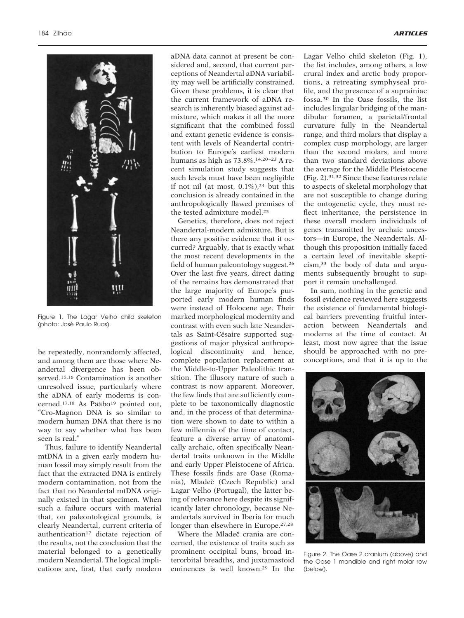

Figure 1. The Lagar Velho child skeleton (photo: José Paulo Ruas).

be repeatedly, nonrandomly affected, and among them are those where Neandertal divergence has been observed.15,16 Contamination is another unresolved issue, particularly where the aDNA of early moderns is concerned.<sup>17,18</sup> As Pääbo<sup>19</sup> pointed out, "Cro-Magnon DNA is so similar to modern human DNA that there is no way to say whether what has been seen is real."

Thus, failure to identify Neandertal mtDNA in a given early modern human fossil may simply result from the fact that the extracted DNA is entirely modern contamination, not from the fact that no Neandertal mtDNA originally existed in that specimen. When such a failure occurs with material that, on paleontological grounds, is clearly Neandertal, current criteria of authentication<sup>17</sup> dictate rejection of the results, not the conclusion that the material belonged to a genetically modern Neandertal. The logical implications are, first, that early modern aDNA data cannot at present be considered and, second, that current perceptions of Neandertal aDNA variability may well be artificially constrained. Given these problems, it is clear that the current framework of aDNA research is inherently biased against admixture, which makes it all the more significant that the combined fossil and extant genetic evidence is consistent with levels of Neandertal contribution to Europe's earliest modern humans as high as  $73.8\%$ .<sup>14,20-23</sup> A recent simulation study suggests that such levels must have been negligible if not nil (at most,  $0.1\%$ ),<sup>24</sup> but this conclusion is already contained in the anthropologically flawed premises of the tested admixture model.25

Genetics, therefore, does not reject Neandertal-modern admixture. But is there any positive evidence that it occurred? Arguably, that is exactly what the most recent developments in the field of human paleontology suggest.26 Over the last five years, direct dating of the remains has demonstrated that the large majority of Europe's purported early modern human finds were instead of Holocene age. Their marked morphological modernity and contrast with even such late Neandertals as Saint-Césaire supported suggestions of major physical anthropological discontinuity and hence, complete population replacement at the Middle-to-Upper Paleolithic transition. The illusory nature of such a contrast is now apparent. Moreover, the few finds that are sufficiently complete to be taxonomically diagnostic and, in the process of that determination were shown to date to within a few millennia of the time of contact, feature a diverse array of anatomically archaic, often specifically Neandertal traits unknown in the Middle and early Upper Pleistocene of Africa. These fossils finds are Oase (Romania), Mladec˘ (Czech Republic) and Lagar Velho (Portugal), the latter being of relevance here despite its significantly later chronology, because Neandertals survived in Iberia for much longer than elsewhere in Europe.27,28

Where the Mladeč crania are concerned, the existence of traits such as prominent occipital buns, broad interorbital breadths, and juxtamastoid eminences is well known.29 In the

Lagar Velho child skeleton (Fig. 1), the list includes, among others, a low crural index and arctic body proportions, a retreating symphyseal profile, and the presence of a suprainiac fossa.30 In the Oase fossils, the list includes lingular bridging of the mandibular foramen, a parietal/frontal curvature fully in the Neandertal range, and third molars that display a complex cusp morphology, are larger than the second molars, and more than two standard deviations above the average for the Middle Pleistocene (Fig. 2).31,32 Since these features relate to aspects of skeletal morphology that are not susceptible to change during the ontogenetic cycle, they must reflect inheritance, the persistence in these overall modern individuals of genes transmitted by archaic ancestors—in Europe, the Neandertals. Although this proposition initially faced a certain level of inevitable skepticism,33 the body of data and arguments subsequently brought to support it remain unchallenged.

In sum, nothing in the genetic and fossil evidence reviewed here suggests the existence of fundamental biological barriers preventing fruitful interaction between Neandertals and moderns at the time of contact. At least, most now agree that the issue should be approached with no preconceptions, and that it is up to the



Figure 2. The Oase 2 cranium (above) and the Oase 1 mandible and right molar row (below).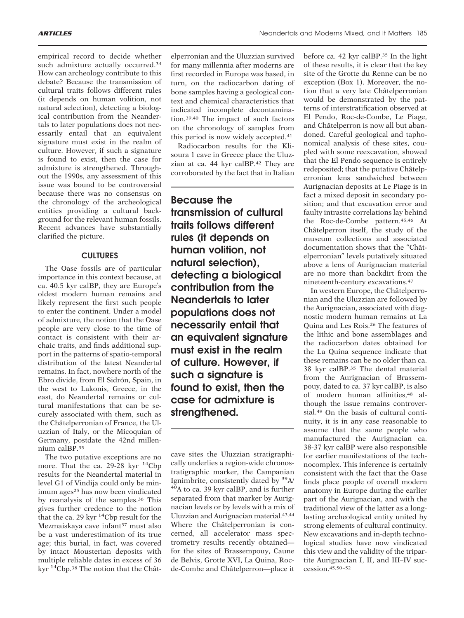empirical record to decide whether such admixture actually occurred.<sup>34</sup> How can archeology contribute to this debate? Because the transmission of cultural traits follows different rules (it depends on human volition, not natural selection), detecting a biological contribution from the Neandertals to later populations does not necessarily entail that an equivalent signature must exist in the realm of culture. However, if such a signature is found to exist, then the case for admixture is strengthened. Throughout the 1990s, any assessment of this issue was bound to be controversial because there was no consensus on the chronology of the archeological entities providing a cultural background for the relevant human fossils. Recent advances have substantially clarified the picture.

# **CULTURES**

The Oase fossils are of particular importance in this context because, at ca. 40.5 kyr calBP, they are Europe's oldest modern human remains and likely represent the first such people to enter the continent. Under a model of admixture, the notion that the Oase people are very close to the time of contact is consistent with their archaic traits, and finds additional support in the patterns of spatio-temporal distribution of the latest Neandertal remains. In fact, nowhere north of the Ebro divide, from El Sidrón, Spain, in the west to Lakonis, Greece, in the east, do Neandertal remains or cultural manifestations that can be securely associated with them, such as the Châtelperronian of France, the Uluzzian of Italy, or the Micoquian of Germany, postdate the 42nd millennium calBP.35

The two putative exceptions are no more. That the ca.  $29-28$  kyr  $14Cbp$ results for the Neandertal material in level G1 of Vindija could only be minimum ages<sup>25</sup> has now been vindicated by reanalysis of the samples.36 This gives further credence to the notion that the ca. 29 kyr  $14Cbp$  result for the Mezmaiskaya cave infant<sup>37</sup> must also be a vast underestimation of its true age; this burial, in fact, was covered by intact Mousterian deposits with multiple reliable dates in excess of 36 kyr  $14$ Cbp.<sup>38</sup> The notion that the Châtelperronian and the Uluzzian survived for many millennia after moderns are first recorded in Europe was based, in turn, on the radiocarbon dating of bone samples having a geological context and chemical characteristics that indicated incomplete decontamination.39,40 The impact of such factors on the chronology of samples from this period is now widely accepted.<sup>41</sup>

Radiocarbon results for the Klisoura 1 cave in Greece place the Uluzzian at ca. 44 kyr calBP.42 They are corroborated by the fact that in Italian

**Because the transmission of cultural traits follows different rules (it depends on human volition, not natural selection), detecting a biological contribution from the Neandertals to later populations does not necessarily entail that an equivalent signature must exist in the realm of culture. However, if such a signature is found to exist, then the case for admixture is strengthened.**

cave sites the Uluzzian stratigraphically underlies a region-wide chronostratigraphic marker, the Campanian Ignimbrite, consistently dated by 39A/ 40A to ca. 39 kyr calBP, and is further separated from that marker by Aurignacian levels or by levels with a mix of Uluzzian and Aurignacian material.43,44 Where the Châtelperronian is concerned, all accelerator mass spectrometry results recently obtained for the sites of Brassempouy, Caune de Belvis, Grotte XVI, La Quina, Rocde-Combe and Châtelperron—place it before ca. 42 kyr calBP.35 In the light of these results, it is clear that the key site of the Grotte du Renne can be no exception (Box 1). Moreover, the notion that a very late Châtelperronian would be demonstrated by the patterns of interstratification observed at El Pendo, Roc-de-Combe, Le Piage, and Châtelperron is now all but abandoned. Careful geological and taphonomical analysis of these sites, coupled with some reexcavation, showed that the El Pendo sequence is entirely redeposited; that the putative Châtelperronian lens sandwiched between Aurignacian deposits at Le Piage is in fact a mixed deposit in secondary position; and that excavation error and faulty intrasite correlations lay behind the Roc-de-Combe pattern.45,46 At Châtelperron itself, the study of the museum collections and associated documentation shows that the "Châtelperronian" levels putatively situated above a lens of Aurignacian material are no more than backdirt from the nineteenth-century excavations.47

In western Europe, the Châtelperronian and the Uluzzian are followed by the Aurignacian, associated with diagnostic modern human remains at La Quina and Les Rois.26 The features of the lithic and bone assemblages and the radiocarbon dates obtained for the La Quina sequence indicate that these remains can be no older than ca. 38 kyr calBP.35 The dental material from the Aurignacian of Brassempouy, dated to ca. 37 kyr calBP, is also of modern human affinities,48 although the issue remains controversial.49 On the basis of cultural continuity, it is in any case reasonable to assume that the same people who manufactured the Aurignacian ca. 38-37 kyr calBP were also responsible for earlier manifestations of the technocomplex. This inference is certainly consistent with the fact that the Oase finds place people of overall modern anatomy in Europe during the earlier part of the Aurignacian, and with the traditional view of the latter as a longlasting archeological entity united by strong elements of cultural continuity. New excavations and in-depth technological studies have now vindicated this view and the validity of the tripartite Aurignacian I, II, and III–IV succession.45,50 –52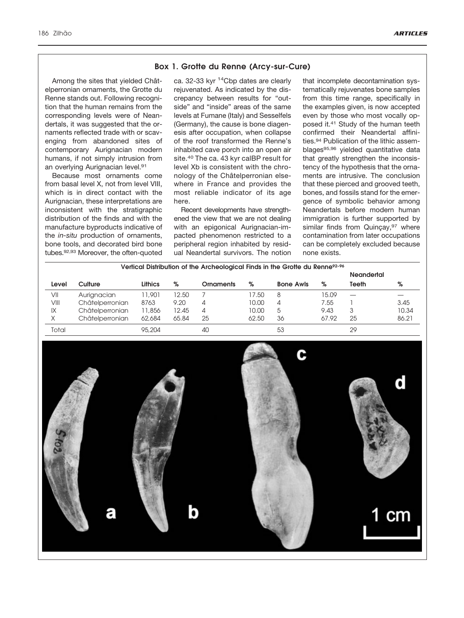# **Box 1. Grotte du Renne (Arcy-sur-Cure)**

Among the sites that yielded Châtelperronian ornaments, the Grotte du Renne stands out. Following recognition that the human remains from the corresponding levels were of Neandertals, it was suggested that the ornaments reflected trade with or scavenging from abandoned sites of contemporary Aurignacian modern humans, if not simply intrusion from an overlying Aurignacian level.91

Because most ornaments come from basal level X, not from level VIII, which is in direct contact with the Aurignacian, these interpretations are inconsistent with the stratigraphic distribution of the finds and with the manufacture byproducts indicative of the *in-situ* production of ornaments, bone tools, and decorated bird bone tubes.92,93 Moreover, the often-quoted ca. 32-33 kyr <sup>14</sup>Cbp dates are clearly rejuvenated. As indicated by the discrepancy between results for "outside" and "inside" areas of the same levels at Fumane (Italy) and Sesselfels (Germany), the cause is bone diagenesis after occupation, when collapse of the roof transformed the Renne's inhabited cave porch into an open air site.40 The ca. 43 kyr calBP result for level Xb is consistent with the chronology of the Châtelperronian elsewhere in France and provides the most reliable indicator of its age here.

Recent developments have strengthened the view that we are not dealing with an epigonical Aurignacian-impacted phenomenon restricted to a peripheral region inhabited by residual Neandertal survivors. The notion that incomplete decontamination systematically rejuvenates bone samples from this time range, specifically in the examples given, is now accepted even by those who most vocally opposed it.41 Study of the human teeth confirmed their Neandertal affinities.94 Publication of the lithic assemblages<sup>95,96</sup> yielded quantitative data that greatly strengthen the inconsistency of the hypothesis that the ornaments are intrusive. The conclusion that these pierced and grooved teeth, bones, and fossils stand for the emergence of symbolic behavior among Neandertals before modern human immigration is further supported by similar finds from Quinçay, $97$  where contamination from later occupations can be completely excluded because none exists.

|               |                 |         |       | Vertical Distribution of the Archeological Finds in the Grotte du Renne <sup>92-96</sup> |       |                  |       |                   |       |
|---------------|-----------------|---------|-------|------------------------------------------------------------------------------------------|-------|------------------|-------|-------------------|-------|
|               |                 |         |       |                                                                                          |       |                  |       | <b>Neandertal</b> |       |
| Level         | Culture         | Lithics | %     | <b>Ornaments</b>                                                                         | %     | <b>Bone Awls</b> | %     | Teeth             | %     |
| VII           | Aurignacian     | 11,901  | 12.50 |                                                                                          | 17.50 | 8                | 15.09 |                   |       |
| VIII          | Châtelperronian | 8763    | 9.20  | $\overline{4}$                                                                           | 10.00 | 4                | 7.55  |                   | 3.45  |
| $\mathsf{IX}$ | Châtelperronian | 11,856  | 12.45 | 4                                                                                        | 10.00 | 5                | 9.43  | 3                 | 10.34 |
| X             | Châtelperronian | 62,684  | 65.84 | 25                                                                                       | 62.50 | 36               | 67.92 | 25                | 86.21 |
| Total         |                 | 95.204  |       | 40                                                                                       |       | 53               |       | 29                |       |

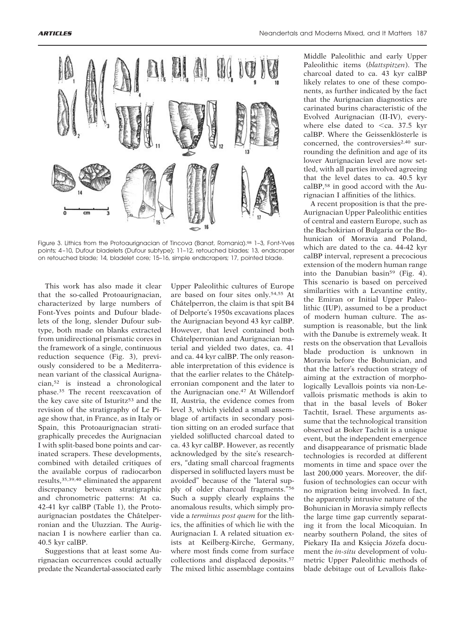

Figure 3. Lithics from the Protoaurignacian of Tincova (Banat, Romania).98 1–3, Font-Yves points; 4 –10, Dufour bladelets (Dufour subtype); 11–12, retouched blades; 13, endscraper on retouched blade; 14, bladelet core; 15–16, simple endscrapers; 17, pointed blade.

This work has also made it clear that the so-called Protoaurignacian, characterized by large numbers of Font-Yves points and Dufour bladelets of the long, slender Dufour subtype, both made on blanks extracted from unidirectional prismatic cores in the framework of a single, continuous reduction sequence (Fig. 3), previously considered to be a Mediterranean variant of the classical Aurignacian,52 is instead a chronological phase.35 The recent reexcavation of the key cave site of Isturitz53 and the revision of the stratigraphy of Le Piage show that, in France, as in Italy or Spain, this Protoaurignacian stratigraphically precedes the Aurignacian I with split-based bone points and carinated scrapers. These developments, combined with detailed critiques of the available corpus of radiocarbon results,35,39,40 eliminated the apparent discrepancy between stratigraphic and chronometric patterns: At ca. 42-41 kyr calBP (Table 1), the Protoaurignacian postdates the Châtelperronian and the Uluzzian. The Aurignacian I is nowhere earlier than ca. 40.5 kyr calBP.

Suggestions that at least some Aurignacian occurrences could actually predate the Neandertal-associated early

Upper Paleolithic cultures of Europe are based on four sites only.54,55 At Châtelperron, the claim is that spit B4 of Delporte's 1950s excavations places the Aurignacian beyond 43 kyr calBP. However, that level contained both Châtelperronian and Aurignacian material and yielded two dates, ca. 41 and ca. 44 kyr calBP. The only reasonable interpretation of this evidence is that the earlier relates to the Châtelperronian component and the later to the Aurignacian one.47 At Willendorf II, Austria, the evidence comes from level 3, which yielded a small assemblage of artifacts in secondary position sitting on an eroded surface that yielded soliflucted charcoal dated to ca. 43 kyr calBP. However, as recently acknowledged by the site's researchers, "dating small charcoal fragments dispersed in soliflucted layers must be avoided" because of the "lateral supply of older charcoal fragments."56 Such a supply clearly explains the anomalous results, which simply provide a *terminus post quem* for the lithics, the affinities of which lie with the Aurignacian I. A related situation exists at Keilberg-Kirche, Germany, where most finds come from surface collections and displaced deposits.57 The mixed lithic assemblage contains

Middle Paleolithic and early Upper Paleolithic items (*blattspitzen*). The charcoal dated to ca. 43 kyr calBP likely relates to one of these components, as further indicated by the fact that the Aurignacian diagnostics are carinated burins characteristic of the Evolved Aurignacian (II-IV), everywhere else dated to  $\langle$ ca. 37.5 kyr calBP. Where the Geissenklösterle is concerned, the controversies<sup>2,40</sup> surrounding the definition and age of its lower Aurignacian level are now settled, with all parties involved agreeing that the level dates to ca. 40.5 kyr calBP,58 in good accord with the Aurignacian I affinities of the lithics.

A recent proposition is that the pre-Aurignacian Upper Paleolithic entities of central and eastern Europe, such as the Bachokirian of Bulgaria or the Bohunician of Moravia and Poland, which are dated to the ca. 44-42 kyr calBP interval, represent a precocious extension of the modern human range into the Danubian basin<sup>59</sup> (Fig. 4). This scenario is based on perceived similarities with a Levantine entity, the Emiran or Initial Upper Paleolithic (IUP), assumed to be a product of modern human culture. The assumption is reasonable, but the link with the Danube is extremely weak. It rests on the observation that Levallois blade production is unknown in Moravia before the Bohunician, and that the latter's reduction strategy of aiming at the extraction of morphologically Levallois points via non-Levallois prismatic methods is akin to that in the basal levels of Boker Tachtit, Israel. These arguments assume that the technological transition observed at Boker Tachtit is a unique event, but the independent emergence and disappearance of prismatic blade technologies is recorded at different moments in time and space over the last 200,000 years. Moreover, the diffusion of technologies can occur with no migration being involved. In fact, the apparently intrusive nature of the Bohunician in Moravia simply reflects the large time gap currently separating it from the local Micoquian. In nearby southern Poland, the sites of Piekary IIa and Księcia Józefa document the *in-situ* development of volumetric Upper Paleolithic methods of blade debitage out of Levallois flake-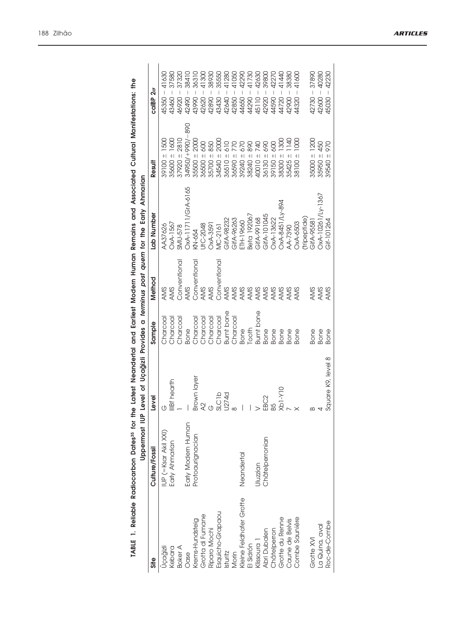|                                     | Uppermost IUP        |                     |            |                                                                                                                                                                                                                                                                                                                                                                                                                                                                                                                                                                                                                  | Level of Uçağızli Provides a terminus post quem for the Early Ahmarian |                           |                      |
|-------------------------------------|----------------------|---------------------|------------|------------------------------------------------------------------------------------------------------------------------------------------------------------------------------------------------------------------------------------------------------------------------------------------------------------------------------------------------------------------------------------------------------------------------------------------------------------------------------------------------------------------------------------------------------------------------------------------------------------------|------------------------------------------------------------------------|---------------------------|----------------------|
| <u>e</u>                            | Culture/Fossil       | Level               | Sample     | Method                                                                                                                                                                                                                                                                                                                                                                                                                                                                                                                                                                                                           | Lab Number                                                             | Result                    | $cal$ alBP $2\sigma$ |
| Jçağizli                            | IUP (=Ksar Akil XXI) | $\circlearrowleft$  | Charcoal   | AMS                                                                                                                                                                                                                                                                                                                                                                                                                                                                                                                                                                                                              | AA37626                                                                | $39100 \pm 1500$          | 41630<br>$45350 - 4$ |
| <b>Space</b>                        | Early Ahmarian       | IIIBf hearth        | Charcoal   | AMS                                                                                                                                                                                                                                                                                                                                                                                                                                                                                                                                                                                                              | $OxA-1567$                                                             | $35600 \pm 1600$          | 37580<br>$-004340$   |
| Boker A                             |                      |                     | Charcoal   | Conventional                                                                                                                                                                                                                                                                                                                                                                                                                                                                                                                                                                                                     | SMU-578                                                                | $37920 \pm 2810$          | 37320<br>$-00004$    |
| Dase                                | Early Modern Human   |                     | Bone       | AMS                                                                                                                                                                                                                                                                                                                                                                                                                                                                                                                                                                                                              | <b>DxA-11711/GrA-6165</b>                                              | 84950/1090-105            | 3841C<br>42490 -     |
|                                     | Protoaurignacian     |                     | Charcoal   | Conventional                                                                                                                                                                                                                                                                                                                                                                                                                                                                                                                                                                                                     | KN-654                                                                 | $35500 \pm 2000$          | 36310<br>$-06681$    |
| Krems-Hundsteig<br>Grotta di Fumane |                      | Brown layer<br>A2   | Charcoal   | AMS                                                                                                                                                                                                                                                                                                                                                                                                                                                                                                                                                                                                              | JtC-2048                                                               | $36500 \pm 600$           | 41300<br>$42620 -$   |
| Riparo Mochi                        |                      | $\circlearrowleft$  | Charcoal   | AMS                                                                                                                                                                                                                                                                                                                                                                                                                                                                                                                                                                                                              | $OxA-359$                                                              | $35700 + 850$             | 38930<br>$-06820$    |
| isquicho-Grapaou                    |                      |                     | Charcoal   |                                                                                                                                                                                                                                                                                                                                                                                                                                                                                                                                                                                                                  | <b>MC-2161</b>                                                         | 34540 ± 2000              | 35550<br>$-08430 -$  |
| Isturitz                            |                      | SLC1b<br>U274d<br>8 | Burnt bone | Conventional<br>AMS                                                                                                                                                                                                                                                                                                                                                                                                                                                                                                                                                                                              | GifA-98232                                                             | $36510 \pm 610$           | 41280<br>$42640 -$   |
| Vlorin                              |                      |                     | Charcoal   |                                                                                                                                                                                                                                                                                                                                                                                                                                                                                                                                                                                                                  |                                                                        | $36590 \pm$               | 41050<br>$42850 -$   |
| <b>(leine Feldhofer Grotte</b>      | Neandertal           |                     | Bone       | $\begin{array}{l} \displaystyle {\cal A} \, {\cal N} \, {\cal B} \, \\ \displaystyle {\cal B} \, \, {\cal B} \, \\ \displaystyle {\cal B} \, \, {\cal B} \, \\ \displaystyle {\cal B} \, \, {\cal B} \, \\ \displaystyle {\cal B} \, \, {\cal B} \, \\ \displaystyle {\cal B} \, \\ \displaystyle {\cal B} \, \\ \displaystyle {\cal B} \, \\ \displaystyle {\cal B} \, \\ \displaystyle {\cal B} \, \\ \displaystyle {\cal B} \, \\ \displaystyle {\cal B} \, \\ \displaystyle {\cal B} \, \\ \displaystyle {\cal B} \, \\ \displaystyle {\cal B} \, \\ \displaystyle {\cal B} \, \\ \displaystyle {\cal B} \,$ | GifA-96263<br>ETH-19660                                                | $39240 \pm 670$           | 44650 - 42290        |
| El Sidrón                           |                      |                     | Tooth      |                                                                                                                                                                                                                                                                                                                                                                                                                                                                                                                                                                                                                  |                                                                        | 38240 ± 890               | 41730<br>$-0624$     |
|                                     | Jluzzian             |                     | Burnt bone |                                                                                                                                                                                                                                                                                                                                                                                                                                                                                                                                                                                                                  | Beta 192067<br>GifA-99168                                              | <b>740</b><br>$40010 \pm$ | 42630<br>$45110 -$   |
| Klissoura 1<br>Abri Dubalen         | Châtelperronian      | $EBC2$<br>B5        | Bone       |                                                                                                                                                                                                                                                                                                                                                                                                                                                                                                                                                                                                                  | GIfA-101045<br>OxA-13622                                               | $36130 \pm 690$           | 39800<br>42920 -     |
| Châtelperron<br>Grotte du Renne     |                      |                     | Bone       |                                                                                                                                                                                                                                                                                                                                                                                                                                                                                                                                                                                                                  |                                                                        | $39150 \pm 600$           | 42270<br>$-0694$     |
|                                     |                      | $7^{11}$            | Bone       |                                                                                                                                                                                                                                                                                                                                                                                                                                                                                                                                                                                                                  | DxA-8451/Ly-894                                                        | $38300 \pm 1300$          | 41440<br>$-0274$     |
| Caune de Belvis                     |                      |                     | Bone       |                                                                                                                                                                                                                                                                                                                                                                                                                                                                                                                                                                                                                  | AA-7390                                                                | 1140<br>$35425 \pm$       | 38380<br>$-00621$    |
| Combe Saunière                      |                      |                     | Bone       |                                                                                                                                                                                                                                                                                                                                                                                                                                                                                                                                                                                                                  | $OxA-6503$                                                             | $38100 \pm 1000$          | 41600<br>44320       |
|                                     |                      |                     |            |                                                                                                                                                                                                                                                                                                                                                                                                                                                                                                                                                                                                                  | (tripeptide)                                                           |                           |                      |
| Grotte XVI                          |                      | $\mathbf{\Omega}$   | Bone       |                                                                                                                                                                                                                                                                                                                                                                                                                                                                                                                                                                                                                  | GifA-95581                                                             | $35000 \pm 1200$          | 37890<br>$42730 -$   |
| a Quina, aval                       |                      |                     | Bone       | AMS<br>AMS<br>AMS                                                                                                                                                                                                                                                                                                                                                                                                                                                                                                                                                                                                | OxA-10261/Ly-1367                                                      | $35950 \pm 450$           | 40280<br>$42600 -$   |
| Roc-de-Combe                        |                      | Square K9, level 8  | Bone       |                                                                                                                                                                                                                                                                                                                                                                                                                                                                                                                                                                                                                  | Gif-101264                                                             | 39540 ± 970               | 42230<br>$-08030 -$  |

TABLE 1. Reliable Radiocarbon Dates<sup>55</sup> for the Latest Neandertal and Earliest Modern Human Remains and Associated Cultural Manifestations: the TABLE 1. Reliable Radiocarbon Dates<sup>ss</sup> for the Latest Neandertal and Earliest Modern Human Remains and Associated Cultural Manifestations: the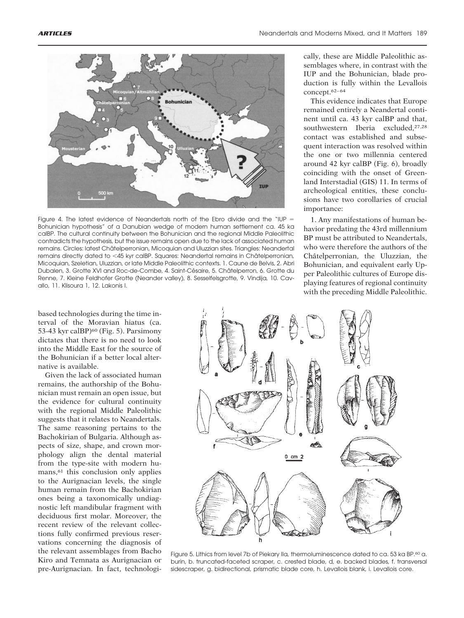

Figure 4. The latest evidence of Neandertals north of the Ebro divide and the "IUP  $=$ Bohunician hypothesis" of a Danubian wedge of modern human settlement ca. 45 ka calBP. The cultural continuity between the Bohunician and the regional Middle Paleolithic contradicts the hypothesis, but the issue remains open due to the lack of associated human remains. Circles: latest Châtelperronian, Micoquian and Uluzzian sites. Triangles: Neandertal remains directly dated to <45 kyr calBP. Squares: Neandertal remains in Châtelperronian, Micoquian, Szeletian, Uluzzian, or late Middle Paleolithic contexts. 1. Caune de Belvis, 2. Abri Dubalen, 3. Grotte XVI and Roc-de-Combe, 4. Saint-Césaire, 5. Châtelperron, 6. Grotte du Renne, 7. Kleine Feldhofer Grotte (Neander valley), 8. Sesselfelsgrotte, 9. Vindija, 10. Cavallo, 11. Klisoura 1, 12. Lakonis I.

cally, these are Middle Paleolithic assemblages where, in contrast with the IUP and the Bohunician, blade production is fully within the Levallois concept.<sup>62–64</sup>

This evidence indicates that Europe remained entirely a Neandertal continent until ca. 43 kyr calBP and that, southwestern Iberia excluded,27,28 contact was established and subsequent interaction was resolved within the one or two millennia centered around 42 kyr calBP (Fig. 6), broadly coinciding with the onset of Greenland Interstadial (GIS) 11. In terms of archeological entities, these conclusions have two corollaries of crucial importance:

1. Any manifestations of human behavior predating the 43rd millennium BP must be attributed to Neandertals, who were therefore the authors of the Châtelperronian, the Uluzzian, the Bohunician, and equivalent early Upper Paleolithic cultures of Europe displaying features of regional continuity with the preceding Middle Paleolithic.

based technologies during the time interval of the Moravian hiatus (ca. 53-43 kyr calBP)<sup>60</sup> (Fig. 5). Parsimony dictates that there is no need to look into the Middle East for the source of the Bohunician if a better local alternative is available.

Given the lack of associated human remains, the authorship of the Bohunician must remain an open issue, but the evidence for cultural continuity with the regional Middle Paleolithic suggests that it relates to Neandertals. The same reasoning pertains to the Bachokirian of Bulgaria. Although aspects of size, shape, and crown morphology align the dental material from the type-site with modern humans,<sup>61</sup> this conclusion only applies to the Aurignacian levels, the single human remain from the Bachokirian ones being a taxonomically undiagnostic left mandibular fragment with deciduous first molar. Moreover, the recent review of the relevant collections fully confirmed previous reservations concerning the diagnosis of the relevant assemblages from Bacho Kiro and Temnata as Aurignacian or pre-Aurignacian. In fact, technologi-



Figure 5. Lithics from level 7b of Piekary IIa, thermoluminescence dated to ca. 53 ka BP.<sup>60</sup> a. burin, b. truncated-faceted scraper, c. crested blade, d, e. backed blades, f. transversal sidescraper, g. bidirectional, prismatic blade core, h. Levallois blank, i. Levallois core.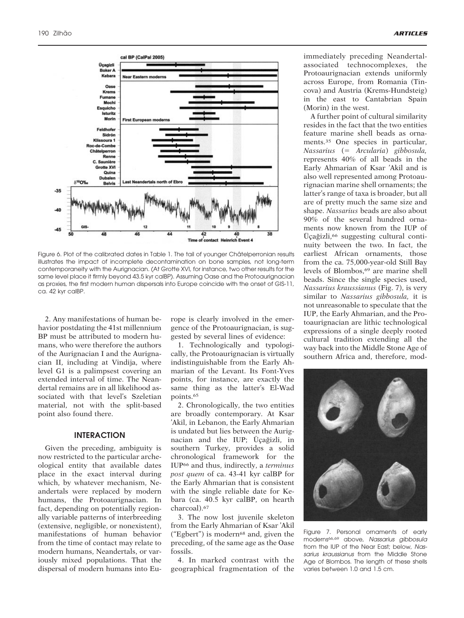

Figure 6. Plot of the calibrated dates in Table 1. The tail of younger Châtelperronian results illustrates the impact of incomplete decontamination on bone samples, not long-term contemporaneity with the Aurignacian. (At Grotte XVI, for instance, two other results for the same level place it firmly beyond 43.5 kyr calBP). Assuming Oase and the Protoaurignacian as proxies, the first modern human dispersals into Europe coincide with the onset of GIS-11, ca. 42 kyr calBP.

2. Any manifestations of human behavior postdating the 41st millennium BP must be attributed to modern humans, who were therefore the authors of the Aurignacian I and the Aurignacian II, including at Vindija, where level G1 is a palimpsest covering an extended interval of time. The Neandertal remains are in all likelihood associated with that level's Szeletian material, not with the split-based point also found there.

## **INTERACTION**

Given the preceding, ambiguity is now restricted to the particular archeological entity that available dates place in the exact interval during which, by whatever mechanism, Neandertals were replaced by modern humans, the Protoaurignacian. In fact, depending on potentially regionally variable patterns of interbreeding (extensive, negligible, or nonexistent), manifestations of human behavior from the time of contact may relate to modern humans, Neandertals, or variously mixed populations. That the dispersal of modern humans into Europe is clearly involved in the emergence of the Protoaurignacian, is suggested by several lines of evidence:

1. Technologically and typologically, the Protoaurignacian is virtually indistinguishable from the Early Ahmarian of the Levant. Its Font-Yves points, for instance, are exactly the same thing as the latter's El-Wad points.65

2. Chronologically, the two entities are broadly contemporary. At Ksar 'Akil, in Lebanon, the Early Ahmarian is undated but lies between the Aurignacian and the IUP; Üçağizli, in southern Turkey, provides a solid chronological framework for the IUP66 and thus, indirectly, a *terminus post quem* of ca. 43-41 kyr calBP for the Early Ahmarian that is consistent with the single reliable date for Kebara (ca. 40.5 kyr calBP, on hearth charcoal).67

3. The now lost juvenile skeleton from the Early Ahmarian of Ksar 'Akil ("Egbert") is modern $68$  and, given the preceding, of the same age as the Oase fossils.

4. In marked contrast with the geographical fragmentation of the immediately preceding Neandertalassociated technocomplexes, the Protoaurignacian extends uniformly across Europe, from Romania (Tincova) and Austria (Krems-Hundsteig) in the east to Cantabrian Spain (Morin) in the west.

A further point of cultural similarity resides in the fact that the two entities feature marine shell beads as ornaments.35 One species in particular, *Nassarius* ( *Arcularia*) *gibbosula,* represents 40% of all beads in the Early Ahmarian of Ksar 'Akil and is also well represented among Protoaurignacian marine shell ornaments; the latter's range of taxa is broader, but all are of pretty much the same size and shape. *Nassarius* beads are also about 90% of the several hundred ornaments now known from the IUP of Üçağizli,<sup>66</sup> suggesting cultural continuity between the two. In fact, the earliest African ornaments, those from the ca. 75,000-year-old Still Bay levels of Blombos,<sup>69</sup> are marine shell beads. Since the single species used, *Nassarius kraussianus* (Fig. 7), is very similar to *Nassarius gibbosula,* it is not unreasonable to speculate that the IUP, the Early Ahmarian, and the Protoaurignacian are lithic technological expressions of a single deeply rooted cultural tradition extending all the way back into the Middle Stone Age of southern Africa and, therefore, mod-



Figure 7. Personal ornaments of early moderns66,69 above, Nassarius gibbosula from the IUP of the Near East; below, Nassarius kraussianus from the Middle Stone Age of Blombos. The length of these shells varies between 1.0 and 1.5 cm.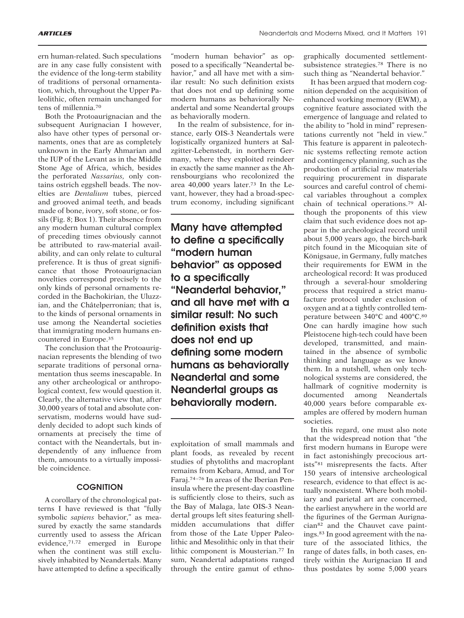ern human-related. Such speculations are in any case fully consistent with the evidence of the long-term stability of traditions of personal ornamentation, which, throughout the Upper Paleolithic, often remain unchanged for tens of millennia.70

Both the Protoaurignacian and the subsequent Aurignacian I however, also have other types of personal ornaments, ones that are as completely unknown in the Early Ahmarian and the IUP of the Levant as in the Middle Stone Age of Africa, which, besides the perforated *Nassarius,* only contains ostrich eggshell beads. The novelties are *Dentalium* tubes, pierced and grooved animal teeth, and beads made of bone, ivory, soft stone, or fossils (Fig. 8; Box 1). Their absence from any modern human cultural complex of preceding times obviously cannot be attributed to raw-material availability, and can only relate to cultural preference. It is thus of great significance that those Protoaurignacian novelties correspond precisely to the only kinds of personal ornaments recorded in the Bachokirian, the Uluzzian, and the Châtelperronian; that is, to the kinds of personal ornaments in use among the Neandertal societies that immigrating modern humans encountered in Europe.35

The conclusion that the Protoaurignacian represents the blending of two separate traditions of personal ornamentation thus seems inescapable. In any other archeological or anthropological context, few would question it. Clearly, the alternative view that, after 30,000 years of total and absolute conservatism, moderns would have suddenly decided to adopt such kinds of ornaments at precisely the time of contact with the Neandertals, but independently of any influence from them, amounts to a virtually impossible coincidence.

# **COGNITION**

A corollary of the chronological patterns I have reviewed is that "fully symbolic *sapiens* behavior," as measured by exactly the same standards currently used to assess the African evidence,71,72 emerged in Europe when the continent was still exclusively inhabited by Neandertals. Many have attempted to define a specifically

"modern human behavior" as opposed to a specifically "Neandertal behavior," and all have met with a similar result: No such definition exists that does not end up defining some modern humans as behaviorally Neandertal and some Neandertal groups as behaviorally modern.

In the realm of subsistence, for instance, early OIS-3 Neandertals were logistically organized hunters at Salzgitter-Lebenstedt, in northern Germany, where they exploited reindeer in exactly the same manner as the Ahrensbourgians who recolonized the area 40,000 years later.73 In the Levant, however, they had a broad-spectrum economy, including significant

**Many have attempted to define a specifically "modern human behavior" as opposed to a specifically "Neandertal behavior," and all have met with a similar result: No such definition exists that does not end up defining some modern humans as behaviorally Neandertal and some Neandertal groups as behaviorally modern.**

exploitation of small mammals and plant foods, as revealed by recent studies of phytoliths and macroplant remains from Kebara, Amud, and Tor Faraj.74 –76 In areas of the Iberian Peninsula where the present-day coastline is sufficiently close to theirs, such as the Bay of Malaga, late OIS-3 Neandertal groups left sites featuring shellmidden accumulations that differ from those of the Late Upper Paleolithic and Mesolithic only in that their lithic component is Mousterian.77 In sum, Neandertal adaptations ranged through the entire gamut of ethnographically documented settlementsubsistence strategies.78 There is no such thing as "Neandertal behavior."

It has been argued that modern cognition depended on the acquisition of enhanced working memory (EWM), a cognitive feature associated with the emergence of language and related to the ability to "hold in mind" representations currently not "held in view." This feature is apparent in paleotechnic systems reflecting remote action and contingency planning, such as the production of artificial raw materials requiring procurement in disparate sources and careful control of chemical variables throughout a complex chain of technical operations.79 Although the proponents of this view claim that such evidence does not appear in the archeological record until about 5,000 years ago, the birch-bark pitch found in the Micoquian site of Königsaue, in Germany, fully matches their requirements for EWM in the archeological record: It was produced through a several-hour smoldering process that required a strict manufacture protocol under exclusion of oxygen and at a tightly controlled temperature between 340°C and 400°C.80 One can hardly imagine how such Pleistocene high-tech could have been developed, transmitted, and maintained in the absence of symbolic thinking and language as we know them. In a nutshell, when only technological systems are considered, the hallmark of cognitive modernity is documented among Neandertals 40,000 years before comparable examples are offered by modern human societies.

In this regard, one must also note that the widespread notion that "the first modern humans in Europe were in fact astonishingly precocious artists"81 misrepresents the facts. After 150 years of intensive archeological research, evidence to that effect is actually nonexistent. Where both mobiliary and parietal art are concerned, the earliest anywhere in the world are the figurines of the German Aurignacian82 and the Chauvet cave paintings.83 In good agreement with the nature of the associated lithics, the range of dates falls, in both cases, entirely within the Aurignacian II and thus postdates by some 5,000 years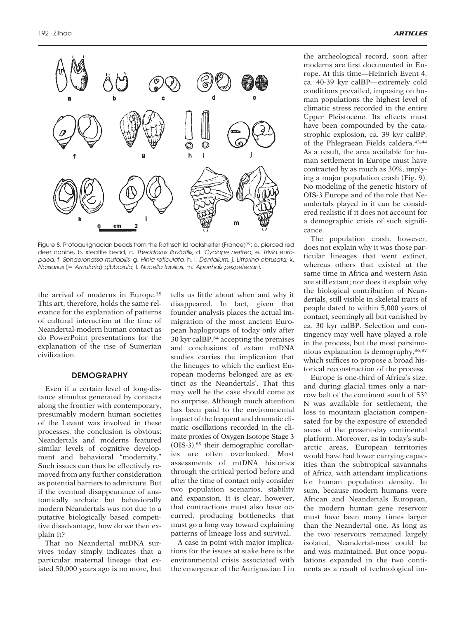

Figure 8. Protoaurignacian beads from the Rothschild rockshelter (France)<sup>99</sup>: a. pierced red deer canine, b. steatite bead, c. Theodoxus fluviatilis, d. Cyclope neritea, e. Trivia europaea, f. Sphaeronassa mutabilis, g. Hinia reticulata, h, i. Dentalium, j. Littorina obtusata, k. Nassarius (= Arcularia) gibbosula, I. Nucella lapillus, m. Aporrhaïs pespelecani.

the arrival of moderns in Europe.35 This art, therefore, holds the same relevance for the explanation of patterns of cultural interaction at the time of Neandertal-modern human contact as do PowerPoint presentations for the explanation of the rise of Sumerian civilization.

### **DEMOGRAPHY**

Even if a certain level of long-distance stimulus generated by contacts along the frontier with contemporary, presumably modern human societies of the Levant was involved in these processes, the conclusion is obvious: Neandertals and moderns featured similar levels of cognitive development and behavioral "modernity." Such issues can thus be effectively removed from any further consideration as potential barriers to admixture. But if the eventual disappearance of anatomically archaic but behaviorally modern Neandertals was not due to a putative biologically based competitive disadvantage, how do we then explain it?

That no Neandertal mtDNA survives today simply indicates that a particular maternal lineage that existed 50,000 years ago is no more, but tells us little about when and why it disappeared. In fact, given that founder analysis places the actual immigration of the most ancient European haplogroups of today only after 30 kyr calBP,84 accepting the premises and conclusions of extant mtDNA studies carries the implication that the lineages to which the earliest European moderns belonged are as extinct as the Neandertals'. That this may well be the case should come as no surprise. Although much attention has been paid to the environmental impact of the frequent and dramatic climatic oscillations recorded in the climate proxies of Oxygen Isotope Stage 3  $(OIS-3)$ ,<sup>85</sup> their demographic corollaries are often overlooked. Most assessments of mtDNA histories through the critical period before and after the time of contact only consider two population scenarios, stability and expansion. It is clear, however, that contractions must also have occurred, producing bottlenecks that must go a long way toward explaining patterns of lineage loss and survival.

A case in point with major implications for the issues at stake here is the environmental crisis associated with the emergence of the Aurignacian I in

the archeological record, soon after moderns are first documented in Europe. At this time—Heinrich Event 4, ca. 40-39 kyr calBP— extremely cold conditions prevailed, imposing on human populations the highest level of climatic stress recorded in the entire Upper Pleistocene. Its effects must have been compounded by the catastrophic explosion, ca. 39 kyr calBP, of the Phlegraean Fields caldera.43,44 As a result, the area available for human settlement in Europe must have contracted by as much as 30%, implying a major population crash (Fig. 9). No modeling of the genetic history of OIS-3 Europe and of the role that Neandertals played in it can be considered realistic if it does not account for a demographic crisis of such significance.

The population crash, however, does not explain why it was those particular lineages that went extinct, whereas others that existed at the same time in Africa and western Asia are still extant; nor does it explain why the biological contribution of Neandertals, still visible in skeletal traits of people dated to within 5,000 years of contact, seemingly all but vanished by ca. 30 kyr calBP. Selection and contingency may well have played a role in the process, but the most parsimonious explanation is demography,86,87 which suffices to propose a broad historical reconstruction of the process.

Europe is one-third of Africa's size, and during glacial times only a narrow belt of the continent south of 53° N was available for settlement, the loss to mountain glaciation compensated for by the exposure of extended areas of the present-day continental platform. Moreover, as in today's subarctic areas, European territories would have had lower carrying capacities than the subtropical savannahs of Africa, with attendant implications for human population density. In sum, because modern humans were African and Neandertals European, the modern human gene reservoir must have been many times larger than the Neandertal one. As long as the two reservoirs remained largely isolated, Neandertal-ness could be and was maintained. But once populations expanded in the two continents as a result of technological im-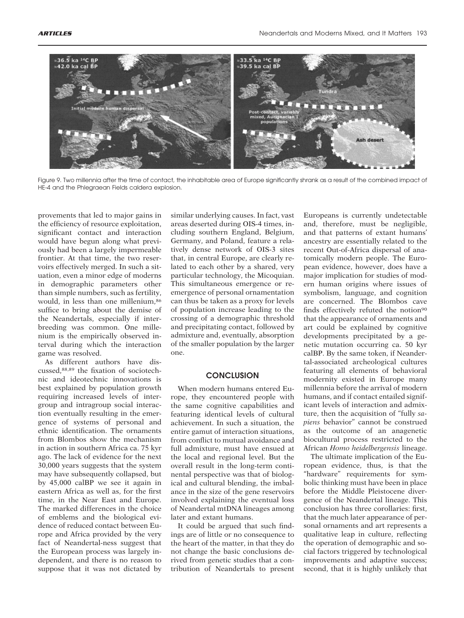

Figure 9. Two millennia after the time of contact, the inhabitable area of Europe significantly shrank as a result of the combined impact of HE-4 and the Phlegraean Fields caldera explosion.

provements that led to major gains in the efficiency of resource exploitation, significant contact and interaction would have begun along what previously had been a largely impermeable frontier. At that time, the two reservoirs effectively merged. In such a situation, even a minor edge of moderns in demographic parameters other than simple numbers, such as fertility, would, in less than one millenium,<sup>86</sup> suffice to bring about the demise of the Neandertals, especially if interbreeding was common. One millenium is the empirically observed interval during which the interaction game was resolved.

As different authors have discussed,88,89 the fixation of sociotechnic and ideotechnic innovations is best explained by population growth requiring increased levels of intergroup and intragroup social interaction eventually resulting in the emergence of systems of personal and ethnic identification. The ornaments from Blombos show the mechanism in action in southern Africa ca. 75 kyr ago. The lack of evidence for the next 30,000 years suggests that the system may have subsequently collapsed, but by 45,000 calBP we see it again in eastern Africa as well as, for the first time, in the Near East and Europe. The marked differences in the choice of emblems and the biological evidence of reduced contact between Europe and Africa provided by the very fact of Neandertal-ness suggest that the European process was largely independent, and there is no reason to suppose that it was not dictated by

similar underlying causes. In fact, vast areas deserted during OIS-4 times, including southern England, Belgium, Germany, and Poland, feature a relatively dense network of OIS-3 sites that, in central Europe, are clearly related to each other by a shared, very particular technology, the Micoquian. This simultaneous emergence or reemergence of personal ornamentation can thus be taken as a proxy for levels of population increase leading to the crossing of a demographic threshold and precipitating contact, followed by admixture and, eventually, absorption of the smaller population by the larger one.

# **CONCLUSION**

When modern humans entered Europe, they encountered people with the same cognitive capabilities and featuring identical levels of cultural achievement. In such a situation, the entire gamut of interaction situations, from conflict to mutual avoidance and full admixture, must have ensued at the local and regional level. But the overall result in the long-term continental perspective was that of biological and cultural blending, the imbalance in the size of the gene reservoirs involved explaining the eventual loss of Neandertal mtDNA lineages among later and extant humans.

It could be argued that such findings are of little or no consequence to the heart of the matter, in that they do not change the basic conclusions derived from genetic studies that a contribution of Neandertals to present

Europeans is currently undetectable and, therefore, must be negligible, and that patterns of extant humans' ancestry are essentially related to the recent Out-of-Africa dispersal of anatomically modern people. The European evidence, however, does have a major implication for studies of modern human origins where issues of symbolism, language, and cognition are concerned. The Blombos cave finds effectively refuted the notion<sup>90</sup> that the appearance of ornaments and art could be explained by cognitive developments precipitated by a genetic mutation occurring ca. 50 kyr calBP. By the same token, if Neandertal-associated archeological cultures featuring all elements of behavioral modernity existed in Europe many millennia before the arrival of modern humans, and if contact entailed significant levels of interaction and admixture, then the acquisition of "fully *sapiens* behavior" cannot be construed as the outcome of an anagenetic biocultural process restricted to the African *Homo heidelbergensis* lineage.

The ultimate implication of the European evidence, thus, is that the "hardware" requirements for symbolic thinking must have been in place before the Middle Pleistocene divergence of the Neandertal lineage. This conclusion has three corollaries: first, that the much later appearance of personal ornaments and art represents a qualitative leap in culture, reflecting the operation of demographic and social factors triggered by technological improvements and adaptive success; second, that it is highly unlikely that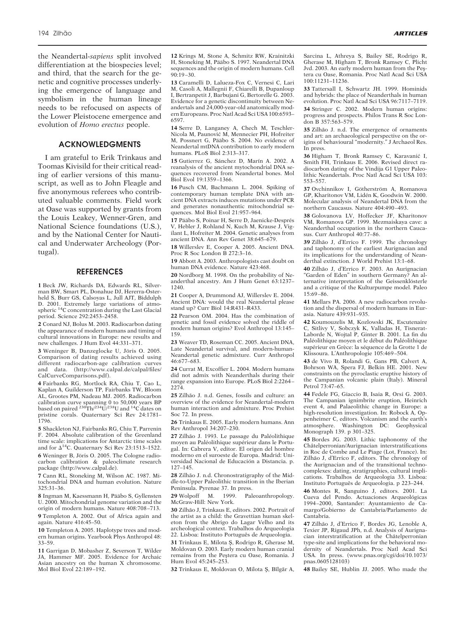194 Zilha˜ o *ARTICLES*

the Neandertal-*sapiens* split involved differentiation at the biospecies level; and third, that the search for the genetic and cognitive processes underlying the emergence of language and symbolism in the human lineage needs to be refocused on aspects of the Lower Pleistocene emergence and evolution of *Homo erectus* people.

#### **ACKNOWLEDGMENTS**

I am grateful to Erik Trinkaus and Toomas Kivisild for their critical reading of earlier versions of this manuscript, as well as to John Fleagle and five anonymous referees who contributed valuable comments. Field work at Oase was supported by grants from the Louis Leakey, Wenner-Gren, and National Science foundations (U.S.), and by the National Center for Nautical and Underwater Archeology (Portugal).

#### **REFERENCES**

**1** Beck JW, Richards DA, Edwards RL, Silverman BW, Smart PL, Donahue DJ, Hererra-Osterheld S, Burr GS, Calsoyas L, Jull AJT, Biddulph D. 2001. Extremely large variations of atmospheric 14C concentration during the Last Glacial period. Science 292:2453–2458.

**2** Conard NJ, Bolus M. 2003. Radiocarbon dating the appearance of modern humans and timing of cultural innovations in Europe: new results and new challenges. J Hum Evol 44:331–371.

**3** Weninger B, Danzeglocke U, Jöris O, 2005. Comparison of dating results achieved using different radiocarbon-age calibration curves and data. (http://www.calpal.de/calpal/files/ CalCurveComparisons.pdf).

**4** Fairbanks RG, Mortlock RA, Chiu T, Cao L, Kaplan A, Guilderson TP, Fairbanks TW, Bloom AL, Grootes PM, Nadeau MJ. 2005. Radiocarbon calibration curve spanning 0 to 50,000 years BP<br>based on paired <sup>230</sup>Th/<sup>234</sup>U/<sup>238</sup>U and <sup>14</sup>C dates on pristine corals. Quaternary Sci Rev 24:1781– 1796.

**5** Shackleton NJ, Fairbanks RG, Chiu T, Parrenin F. 2004. Absolute calibration of the Greenland time scale: implications for Antarctic time scales and for  $\Delta^{14}$ C. Quaternary Sci Rev 23:1513–1522.

**6** Weninger B, Jöris O. 2005. The Cologne radiocarbon calibration & paleoclimate research package (http://www.calpal.de).

**7** Cann RL, Stoneking M, Wilson AC. 1987. Mitochondrial DNA and human evolution. Nature 325:31–36.

8 Ingman M, Kaessmann H, Pääbo S, Gyllensten U. 2000. Mitochondrial genome variation and the origin of modern humans. Nature 408:708 –713. **9** Templeton A. 2002. Out of Africa again and again. Nature 416:45–50.

**10** Templeton A. 2005. Haplotype trees and modern human origins. Yearbook Phys Anthropol 48: 33–59.

**11** Garrigan D, Mobasher Z, Severson T, Wilder JA, Hammer MF. 2005. Evidence for Archaic Asian ancestry on the human X chromosome. Mol Biol Evol 22:189 –192.

**12** Krings M, Stone A, Schmitz RW, Krainitzki H, Stoneking M, Pääbo S. 1997. Neandertal DNA sequences and the origin of modern humans. Cell 90:19 –30.

**13** Caramelli D, Lalueza-Fox C, Vernesi C, Lari M, Casoli A, Mallegnii F, Chiarelli B, Dupanloup I, Bertranpetit J, Barbujani G, Bertorelle G. 2003. Evidence for a genetic discontinuity between Neandertals and 24,000-year-old anatomically modern Europeans. Proc Natl Acad Sci USA 100:6593– 6597.

**14** Serre D, Langaney A, Chech M, Teschler-Nicola M, Paunović M, Mennecier PH, Hofreiter M, Possnert G, Pääbo S. 2004. No evidence of Neandertal mtDNA contribution to early modern humans. PLoS Biol 2:313–317.

15 Gutierrez G, Sánchez D, Marín A. 2002. A reanalysis of the ancient mytochondrial DNA sequences recovered from Neandertal bones. Mol Biol Evol 19:1359 –1366.

**16** Pusch CM, Bachmann L. 2004. Spiking of contemporary human template DNA with ancient DNA extracts induces mutations under PCR and generates nonauthentic mitochondrial sequences. Mol Biol Evol 21:957–964.

17 Pääbo S, Poinar H, Serre D, Jaenicke-Després V, Hebler J, Rohland N, Kuch M, Krause J, Vigilant L, Hofreiter M. 2004. Genetic analyses from ancient DNA. Ann Rev Genet 38:645–679.

**18** Willerslev E, Cooper A. 2005. Ancient DNA. Proc R Soc London B 272:3–16.

**19** Abbott A. 2003. Anthropologists cast doubt on human DNA evidence. Nature 423:468.

**20** Nordborg M. 1998. On the probability of Neanderthal ancestry. Am J Hum Genet 63:1237– 1240.

**21** Cooper A, Drummond AJ, Willerslev E. 2004. Ancient DNA: would the real Neandertal please stand up? Curr Biol 14:R431–R433.

**22** Pearson OM. 2004. Has the combination of genetic and fossil evidence solved the riddle of modern human origins? Evol Anthropol 13:145– 159.

**23** Weaver TD, Roseman CC. 2005. Ancient DNA, Late Neandertal survival, and modern-human-Neandertal genetic admixture. Curr Anthropol 46:677–683.

**24** Currat M, Excoffier L. 2004. Modern humans did not admix with Neanderthals during their range expansion into Europe. PLoS Biol 2:2264 – 2274.

25 Zilhão J. n.d. Genes, fossils and culture: an overview of the evidence for Neandertal-modern human interaction and admixture. Proc Prehist Soc 72. In press.

**26** Trinkaus E. 2005. Early modern humans. Ann Rev Anthropol 34:207–230.

27 Zilhão J. 1993. Le passage du Paléolithique moyen au Paléolithique supérieur dans le Portugal. In: Cabrera V, editor. El origen del hombre moderno en el suroeste de Europa. Madrid: Universidad Nacional de Educación a Distancia. p. 127–145.

28 Zilhão J. n.d. Chronostratigraphy of the Middle-to-Upper Paleolithic transition in the Iberian Peninsula. Pyrenae 37. In press.

**29** Wolpoff M. 1999. Paleoanthropology. McGraw-Hill: New York.

**30** Zilha˜o J, Trinkaus E, editors. 2002. Portrait of the artist as a child: the Gravettian human skeleton from the Abrigo do Lagar Velho and its archeological context. Trabalhos do Arqueologia 22. Lisboa: Instituto Português de Arqueologia.

**31** Trinkaus E, Milota S¸ , Rodrigo R, Gherase M, Moldovan O. 2003. Early modern human cranial remains from the Pestera cu Oase, Romania. J Hum Evol 45:245–253.

32 Trinkaus E, Moldovan O, Milota Ş, Bîlgăr A,

Sarcina L, Athreya S, Bailey SE, Rodrigo R, Gherase M, Higham T, Bronk Ramsey C, Plicht Jvd. 2003. An early modern human from the Pestera cu Oase, Romania. Proc Natl Acad Sci USA 100:11231–11236.

**33** Tattersall I, Schwartz JH. 1999. Hominids and hybrids: the place of Neanderthals in human evolution. Proc Natl Acad Sci USA 96:7117–7119.

**34** Stringer C. 2002. Modern human origins: progress and prospects. Philos Trans R Soc London B 357:563–579.

35 Zilhão J. n.d. The emergence of ornaments and art: an archaeological perspective on the origins of behavioural "modernity." J Archaeol Res. In press.

**36** Higham T, Bronk Ramsey C, Karavanic´ I, Smith FH, Trinkaus E. 2006. Revised direct radiocarbon dating of the Vindija G1 Upper Paleolithic Neandertals. Proc Natl Acad Sci USA 103: 553–557.

37 Ovchinnikov I, Götherström A, Romanova GP, Kharitonov VM, Lidén K, Goodwin W. 2000. Molecular analysis of Neandertal DNA from the northern Caucasus. Nature 404:490 –493.

**38** Golovanova LV, Hoffecker JF, Kharitonov VM, Romanova GP. 1999. Mezmaiskaya cave: a Neanderthal occupation in the northern Caucasus. Curr Anthropol 40:77–86.

39 Zilhão J, d'Errico F. 1999. The chronology and taphonomy of the earliest Aurignacian and its implications for the understanding of Neanderthal extinction. J World Prehist 13:1–68.

**40** Zilha˜o J, d'Errico F. 2003. An Aurignacian "Garden of Eden" in southern Germany? An alternative interpretation of the Geissenklösterle and a critique of the Kulturpumpe model. Paleo 15:69 –86.

**41** Mellars PA. 2006. A new radiocarbon revolution and the dispersal of modern humans in Eurasia. Nature 439:931–935.

**42** Koumouzelis M, Kozlowski JK, Escutenaire C, Sitlivy V, Sobczyk K, Valladas H, Tisnerat-Laborde N, Wojtal P, Ginter B. 2001. La fin du Paléolithique moyen et le début du Paléolithique supérieur en Grèce: la séquence de la Grotte 1 de Klissoura. L'Anthropologie 105:469 –504.

**43** de Vivo B, Rolandi G, Gans PB, Calvert A, Bohrson WA, Spera FJ, Belkin HE. 2001. New constraints on the pyroclastic eruptive history of the Campanian volcanic plain (Italy). Mineral Petrol 73:47–65.

**44** Fedele FG, Giaccio B, Isaia R, Orsi G. 2003. The Campanian ignimbrite eruption, Heinrich event 4, and Palaeolithic change in Europe: a high-resolution investigation. In: Robock A, Oppenheimer C, editors. Volcanism and the earth's atmosphere. Washington DC: Geophysical Monograph 139. p 301–325.

**45** Bordes JG. 2003. Lithic taphonomy of the Châtelperronian/Aurignacian interstratifications in Roc de Combe and Le Piage (Lot, France). In: Zilhão J, d'Errico F, editors. The chronology of the Aurignacian and of the transitional technocomplexes: dating, stratigraphies, cultural implications. Trabalhos de Arqueologia 33. Lisboa: Instituto Português de Arqueologia. p 223-244.

**46** Montes R, Sanguino J, editors. 2001. La Cueva del Pendo. Actuaciones Arqueológicas 1994 –2000, Santander: Ayuntamiento de Camargo/Gobierno de Cantabria/Parlamento de Cantabria.

47 Zilhão J, d'Errico F, Bordes JG, Lenoble A, Texier JP, Rigaud JPh, n.d. Analysis of Aurignacian interstratification at the Chatelperronian type-site and implications for the behavioral modernity of Neandertals. Proc Natl Acad Sci USA. In press. (www.pnas.org/cgi/doi/10.1073/ pnas.0605128103)

**48** Bailey SE, Hublin JJ. 2005. Who made the